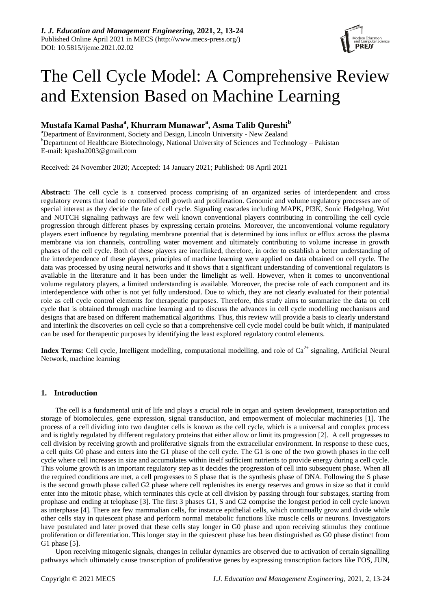

# The Cell Cycle Model: A Comprehensive Review and Extension Based on Machine Learning

# **Mustafa Kamal Pasha<sup>a</sup> , Khurram Munawar<sup>a</sup> , Asma Talib Qureshi<sup>b</sup>**

<sup>a</sup>Department of Environment, Society and Design, Lincoln University - New Zealand <sup>b</sup>Department of Healthcare Biotechnology, National University of Sciences and Technology – Pakistan E-mail: kpasha2003@gmail.com

Received: 24 November 2020; Accepted: 14 January 2021; Published: 08 April 2021

**Abstract:** The cell cycle is a conserved process comprising of an organized series of interdependent and cross regulatory events that lead to controlled cell growth and proliferation. Genomic and volume regulatory processes are of special interest as they decide the fate of cell cycle. Signaling cascades including MAPK, PI3K, Sonic Hedgehog, Wnt and NOTCH signaling pathways are few well known conventional players contributing in controlling the cell cycle progression through different phases by expressing certain proteins. Moreover, the unconventional volume regulatory players exert influence by regulating membrane potential that is determined by ions influx or efflux across the plasma membrane via ion channels, controlling water movement and ultimately contributing to volume increase in growth phases of the cell cycle. Both of these players are interlinked, therefore, in order to establish a better understanding of the interdependence of these players, principles of machine learning were applied on data obtained on cell cycle. The data was processed by using neural networks and it shows that a significant understanding of conventional regulators is available in the literature and it has been under the limelight as well. However, when it comes to unconventional volume regulatory players, a limited understanding is available. Moreover, the precise role of each component and its interdependence with other is not yet fully understood. Due to which, they are not clearly evaluated for their potential role as cell cycle control elements for therapeutic purposes. Therefore, this study aims to summarize the data on cell cycle that is obtained through machine learning and to discuss the advances in cell cycle modelling mechanisms and designs that are based on different mathematical algorithms. Thus, this review will provide a basis to clearly understand and interlink the discoveries on cell cycle so that a comprehensive cell cycle model could be built which, if manipulated can be used for therapeutic purposes by identifying the least explored regulatory control elements.

**Index Terms:** Cell cycle, Intelligent modelling, computational modelling, and role of  $Ca<sup>2+</sup>$  signaling, Artificial Neural Network, machine learning

# **1. Introduction**

The cell is a fundamental unit of life and plays a crucial role in organ and system development, transportation and storage of biomolecules, gene expression, signal transduction, and empowerment of molecular machineries [1]. The process of a cell dividing into two daughter cells is known as the cell cycle, which is a universal and complex process and is tightly regulated by different regulatory proteins that either allow or limit its progression [2]. A cell progresses to cell division by receiving growth and proliferative signals from the extracellular environment. In response to these cues, a cell quits G0 phase and enters into the G1 phase of the cell cycle. The G1 is one of the two growth phases in the cell cycle where cell increases in size and accumulates within itself sufficient nutrients to provide energy during a cell cycle. This volume growth is an important regulatory step as it decides the progression of cell into subsequent phase. When all the required conditions are met, a cell progresses to S phase that is the synthesis phase of DNA. Following the S phase is the second growth phase called G2 phase where cell replenishes its energy reserves and grows in size so that it could enter into the mitotic phase, which terminates this cycle at cell division by passing through four substages, starting from prophase and ending at telophase [3]. The first 3 phases G1, S and G2 comprise the longest period in cell cycle known as interphase [4]. There are few mammalian cells, for instance epithelial cells, which continually grow and divide while other cells stay in quiescent phase and perform normal metabolic functions like muscle cells or neurons. Investigators have postulated and later proved that these cells stay longer in G0 phase and upon receiving stimulus they continue proliferation or differentiation. This longer stay in the quiescent phase has been distinguished as G0 phase distinct from G1 phase [5].

Upon receiving mitogenic signals, changes in cellular dynamics are observed due to activation of certain signalling pathways which ultimately cause transcription of proliferative genes by expressing transcription factors like FOS, JUN,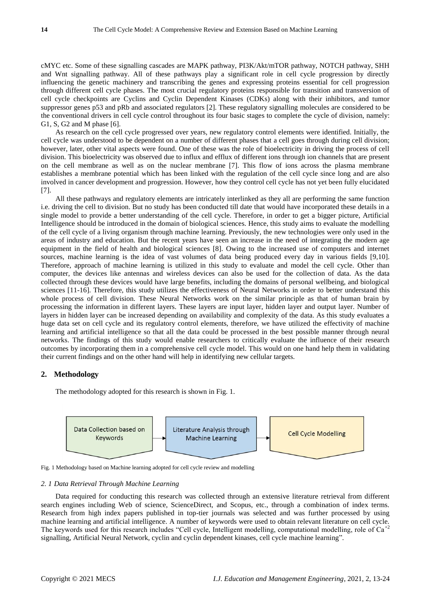cMYC etc. Some of these signalling cascades are MAPK pathway, PI3K/Akt/mTOR pathway, NOTCH pathway, SHH and Wnt signalling pathway. All of these pathways play a significant role in cell cycle progression by directly influencing the genetic machinery and transcribing the genes and expressing proteins essential for cell progression through different cell cycle phases. The most crucial regulatory proteins responsible for transition and transversion of cell cycle checkpoints are Cyclins and Cyclin Dependent Kinases (CDKs) along with their inhibitors, and tumor suppressor genes p53 and pRb and associated regulators [2]. These regulatory signalling molecules are considered to be the conventional drivers in cell cycle control throughout its four basic stages to complete the cycle of division, namely: G1, S, G2 and M phase [6].

As research on the cell cycle progressed over years, new regulatory control elements were identified. Initially, the cell cycle was understood to be dependent on a number of different phases that a cell goes through during cell division; however, later, other vital aspects were found. One of these was the role of bioelectricity in driving the process of cell division. This bioelectricity was observed due to influx and efflux of different ions through ion channels that are present on the cell membrane as well as on the nuclear membrane [7]. This flow of ions across the plasma membrane establishes a membrane potential which has been linked with the regulation of the cell cycle since long and are also involved in cancer development and progression. However, how they control cell cycle has not yet been fully elucidated [7].

All these pathways and regulatory elements are intricately interlinked as they all are performing the same function i.e. driving the cell to division. But no study has been conducted till date that would have incorporated these details in a single model to provide a better understanding of the cell cycle. Therefore, in order to get a bigger picture, Artificial Intelligence should be introduced in the domain of biological sciences. Hence, this study aims to evaluate the modelling of the cell cycle of a living organism through machine learning. Previously, the new technologies were only used in the areas of industry and education. But the recent years have seen an increase in the need of integrating the modern age equipment in the field of health and biological sciences [8]. Owing to the increased use of computers and internet sources, machine learning is the idea of vast volumes of data being produced every day in various fields [9,10]. Therefore, approach of machine learning is utilized in this study to evaluate and model the cell cycle. Other than computer, the devices like antennas and wireless devices can also be used for the collection of data. As the data collected through these devices would have large benefits, including the domains of personal wellbeing, and biological sciences [11-16]. Therefore, this study utilizes the effectiveness of Neural Networks in order to better understand this whole process of cell division. These Neural Networks work on the similar principle as that of human brain by processing the information in different layers. These layers are input layer, hidden layer and output layer. Number of layers in hidden layer can be increased depending on availability and complexity of the data. As this study evaluates a huge data set on cell cycle and its regulatory control elements, therefore, we have utilized the effectivity of machine learning and artificial intelligence so that all the data could be processed in the best possible manner through neural networks. The findings of this study would enable researchers to critically evaluate the influence of their research outcomes by incorporating them in a comprehensive cell cycle model. This would on one hand help them in validating their current findings and on the other hand will help in identifying new cellular targets.

#### **2. Methodology**

The methodology adopted for this research is shown in Fig. 1.



Fig. 1 Methodology based on Machine learning adopted for cell cycle review and modelling

# *2. 1 Data Retrieval Through Machine Learning*

Data required for conducting this research was collected through an extensive literature retrieval from different search engines including Web of science, ScienceDirect, and Scopus, etc., through a combination of index terms. Research from high index papers published in top-tier journals was selected and was further processed by using machine learning and artificial intelligence. A number of keywords were used to obtain relevant literature on cell cycle. The keywords used for this research includes "Cell cycle, Intelligent modelling, computational modelling, role of  $Ca^{+2}$ signalling, Artificial Neural Network, cyclin and cyclin dependent kinases, cell cycle machine learning".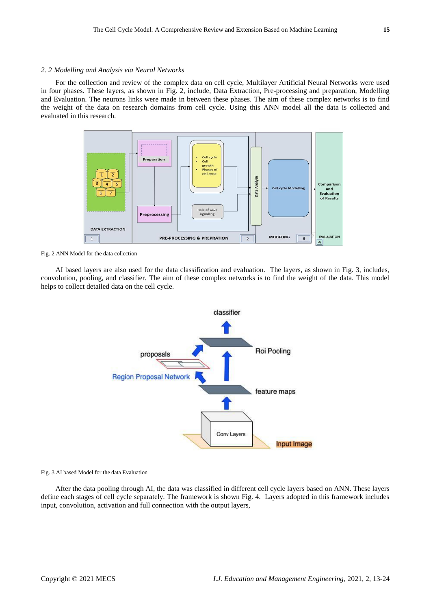#### *2. 2 Modelling and Analysis via Neural Networks*

For the collection and review of the complex data on cell cycle, Multilayer Artificial Neural Networks were used in four phases. These layers, as shown in Fig. 2, include, Data Extraction, Pre-processing and preparation, Modelling and Evaluation. The neurons links were made in between these phases. The aim of these complex networks is to find the weight of the data on research domains from cell cycle. Using this ANN model all the data is collected and evaluated in this research.



Fig. 2 ANN Model for the data collection

AI based layers are also used for the data classification and evaluation. The layers, as shown in Fig. 3, includes, convolution, pooling, and classifier. The aim of these complex networks is to find the weight of the data. This model helps to collect detailed data on the cell cycle.



#### Fig. 3 AI based Model for the data Evaluation

After the data pooling through AI, the data was classified in different cell cycle layers based on ANN. These layers define each stages of cell cycle separately. The framework is shown Fig. 4. Layers adopted in this framework includes input, convolution, activation and full connection with the output layers,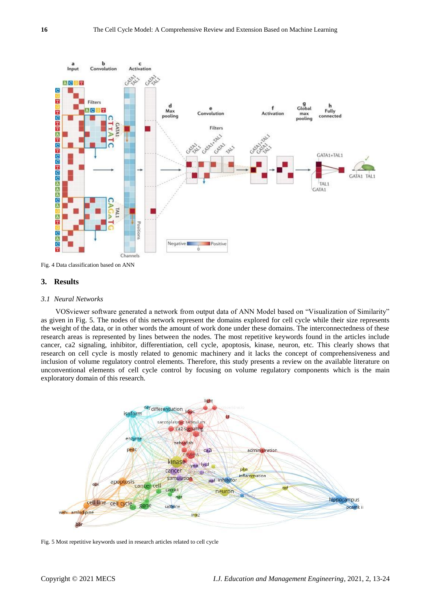

Fig. 4 Data classification based on ANN

# **3. Results**

#### *3.1 Neural Networks*

VOSviewer software generated a network from output data of ANN Model based on "Visualization of Similarity" as given in Fig. 5. The nodes of this network represent the domains explored for cell cycle while their size represents the weight of the data, or in other words the amount of work done under these domains. The interconnectedness of these research areas is represented by lines between the nodes. The most repetitive keywords found in the articles include cancer, ca2 signaling, inhibitor, differentiation, cell cycle, apoptosis, kinase, neuron, etc. This clearly shows that research on cell cycle is mostly related to genomic machinery and it lacks the concept of comprehensiveness and inclusion of volume regulatory control elements. Therefore, this study presents a review on the available literature on unconventional elements of cell cycle control by focusing on volume regulatory components which is the main exploratory domain of this research.



Fig. 5 Most repetitive keywords used in research articles related to cell cycle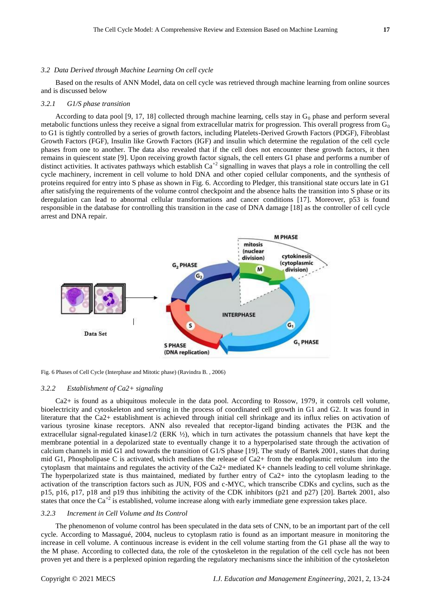#### *3.2 Data Derived through Machine Learning On cell cycle*

Based on the results of ANN Model, data on cell cycle was retrieved through machine learning from online sources and is discussed below

#### *3.2.1 G1/S phase transition*

According to data pool [9, 17, 18] collected through machine learning, cells stay in  $G_0$  phase and perform several metabolic functions unless they receive a signal from extracellular matrix for progression. This overall progress from  $G_0$ to G1 is tightly controlled by a series of growth factors, including Platelets-Derived Growth Factors (PDGF), Fibroblast Growth Factors (FGF), Insulin like Growth Factors (IGF) and insulin which determine the regulation of the cell cycle phases from one to another. The data also revealed that if the cell does not encounter these growth factors, it then remains in quiescent state [9]. Upon receiving growth factor signals, the cell enters G1 phase and performs a number of distinct activities. It activates pathways which establish  $Ca^{+2}$  signalling in waves that plays a role in controlling the cell cycle machinery, increment in cell volume to hold DNA and other copied cellular components, and the synthesis of proteins required for entry into S phase as shown in Fig. 6. According to Pledger, this transitional state occurs late in G1 after satisfying the requirements of the volume control checkpoint and the absence halts the transition into S phase or its deregulation can lead to abnormal cellular transformations and cancer conditions [17]. Moreover, p53 is found responsible in the database for controlling this transition in the case of DNA damage [18] as the controller of cell cycle arrest and DNA repair.



Fig. 6 Phases of Cell Cycle (Interphase and Mitotic phase) (Ravindra B. , 2006)

#### *3.2.2 Establishment of Ca2+ signaling*

Ca2+ is found as a ubiquitous molecule in the data pool. According to Rossow, 1979, it controls cell volume, bioelectricity and cytoskeleton and servring in the process of coordinated cell growth in G1 and G2. It was found in literature that the Ca2+ establishment is achieved through initial cell shrinkage and its influx relies on activation of various tyrosine kinase receptors. ANN also revealed that receptor-ligand binding activates the PI3K and the extracellular signal-regulated kinase1/2 (ERK  $\frac{1}{2}$ ), which in turn activates the potassium channels that have kept the membrane potential in a depolarized state to eventually change it to a hyperpolarised state through the activation of calcium channels in mid G1 and towards the transition of G1/S phase [19]. The study of Bartek 2001, states that during mid G1, Phospholipase C is activated, which mediates the release of Ca2+ from the endoplasmic reticulum into the cytoplasm that maintains and regulates the activity of the Ca2+ mediated K+ channels leading to cell volume shrinkage. The hyperpolarized state is thus maintained, mediated by further entry of Ca2+ into the cytoplasm leading to the activation of the transcription factors such as JUN, FOS and c-MYC, which transcribe CDKs and cyclins, such as the p15, p16, p17, p18 and p19 thus inhibiting the activity of the CDK inhibitors (p21 and p27) [20]. Bartek 2001, also states that once the  $Ca^{2}$  is established, volume increase along with early immediate gene expression takes place.

#### *3.2.3 Increment in Cell Volume and Its Control*

The phenomenon of volume control has been speculated in the data sets of CNN, to be an important part of the cell cycle. According to Massagué, 2004, nucleus to cytoplasm ratio is found as an important measure in monitoring the increase in cell volume. A continuous increase is evident in the cell volume starting from the G1 phase all the way to the M phase. According to collected data, the role of the cytoskeleton in the regulation of the cell cycle has not been proven yet and there is a perplexed opinion regarding the regulatory mechanisms since the inhibition of the cytoskeleton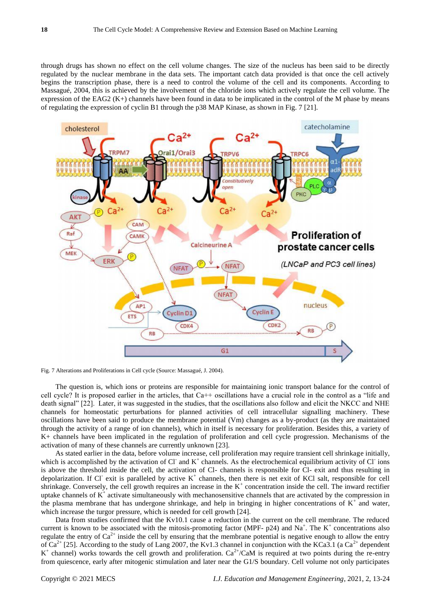through drugs has shown no effect on the cell volume changes. The size of the nucleus has been said to be directly regulated by the nuclear membrane in the data sets. The important catch data provided is that once the cell actively begins the transcription phase, there is a need to control the volume of the cell and its components. According to Massagué, 2004, this is achieved by the involvement of the chloride ions which actively regulate the cell volume. The expression of the EAG2 (K+) channels have been found in data to be implicated in the control of the M phase by means of regulating the expression of cyclin B1 through the p38 MAP Kinase, as shown in Fig. 7 [21].



Fig. 7 Alterations and Proliferations in Cell cycle (Source: Massagué, J. 2004).

The question is, which ions or proteins are responsible for maintaining ionic transport balance for the control of cell cycle? It is proposed earlier in the articles, that Ca++ oscillations have a crucial role in the control as a "life and death signal" [22]. Later, it was suggested in the studies, that the oscillations also follow and elicit the NKCC and NHE channels for homeostatic perturbations for planned activities of cell intracellular signalling machinery. These oscillations have been said to produce the membrane potential (Vm) changes as a by-product (as they are maintained through the activity of a range of ion channels), which in itself is necessary for proliferation. Besides this, a variety of K+ channels have been implicated in the regulation of proliferation and cell cycle progression. Mechanisms of the activation of many of these channels are currently unknown [23].

As stated earlier in the data, before volume increase, cell proliferation may require transient cell shrinkage initially, which is accomplished by the activation of Cl and  $K^+$  channels. As the electrochemical equilibrium activity of Cl ions is above the threshold inside the cell, the activation of Cl- channels is responsible for Cl- exit and thus resulting in depolarization. If Cl exit is paralleled by active  $K^+$  channels, then there is net exit of KCl salt, responsible for cell shrinkage. Conversely, the cell growth requires an increase in the  $K^+$  concentration inside the cell. The inward rectifier uptake channels of  $K^+$  activate simultaneously with mechanosensitive channels that are activated by the compression in the plasma membrane that has undergone shrinkage, and help in bringing in higher concentrations of  $K^+$  and water, which increase the turgor pressure, which is needed for cell growth [24].

Data from studies confirmed that the Kv10.1 cause a reduction in the current on the cell membrane. The reduced current is known to be associated with the mitosis-promoting factor (MPF-  $p24$ ) and Na<sup>+</sup>. The K<sup>+</sup> concentrations also regulate the entry of  $Ca^{2+}$  inside the cell by ensuring that the membrane potential is negative enough to allow the entry of Ca<sup>2+</sup> [25]. According to the study of Lang 2007, the Kv1.3 channel in conjunction with the KCa3.1 (a Ca<sup>2+</sup> dependent  $K^+$  channel) works towards the cell growth and proliferation.  $Ca^{2+}/CaM$  is required at two points during the re-entry from quiescence, early after mitogenic stimulation and later near the G1/S boundary. Cell volume not only participates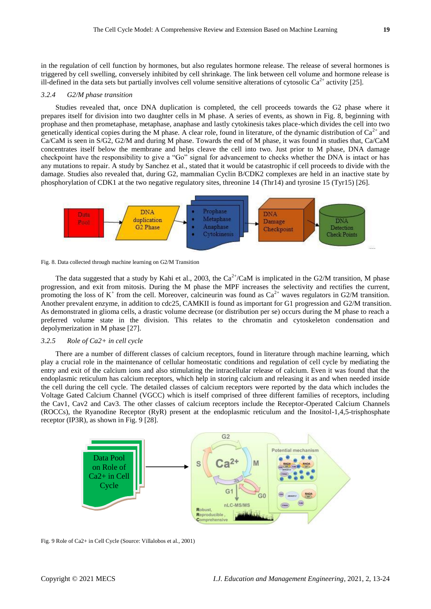in the regulation of cell function by hormones, but also regulates hormone release. The release of several hormones is triggered by cell swelling, conversely inhibited by cell shrinkage. The link between cell volume and hormone release is ill-defined in the data sets but partially involves cell volume sensitive alterations of cytosolic  $Ca^{2+}$  activity [25].

#### *3.2.4 G2/M phase transition*

Studies revealed that, once DNA duplication is completed, the cell proceeds towards the G2 phase where it prepares itself for division into two daughter cells in M phase. A series of events, as shown in Fig. 8, beginning with prophase and then prometaphase, metaphase, anaphase and lastly cytokinesis takes place-which divides the cell into two genetically identical copies during the M phase. A clear role, found in literature, of the dynamic distribution of  $Ca^{2+}$  and Ca/CaM is seen in S/G2, G2/M and during M phase. Towards the end of M phase, it was found in studies that, Ca/CaM concentrates itself below the membrane and helps cleave the cell into two. Just prior to M phase, DNA damage checkpoint have the responsibility to give a "Go" signal for advancement to checks whether the DNA is intact or has any mutations to repair. A study by Sanchez et al., stated that it would be catastrophic if cell proceeds to divide with the damage. Studies also revealed that, during G2, mammalian Cyclin B/CDK2 complexes are held in an inactive state by phosphorylation of CDK1 at the two negative regulatory sites, threonine 14 (Thr14) and tyrosine 15 (Tyr15) [26].





The data suggested that a study by Kahi et al., 2003, the  $Ca^{2+}/CaM$  is implicated in the G2/M transition, M phase progression, and exit from mitosis. During the M phase the MPF increases the selectivity and rectifies the current, promoting the loss of  $K^+$  from the cell. Moreover, calcineurin was found as  $Ca^{2+}$  waves regulators in G2/M transition. Another prevalent enzyme, in addition to cdc25, CAMKII is found as important for G1 progression and G2/M transition. As demonstrated in glioma cells, a drastic volume decrease (or distribution per se) occurs during the M phase to reach a preferred volume state in the division. This relates to the chromatin and cytoskeleton condensation and depolymerization in M phase [27].

### *3.2.5 Role of Ca2+ in cell cycle*

There are a number of different classes of calcium receptors, found in literature through machine learning, which play a crucial role in the maintenance of cellular homeostatic conditions and regulation of cell cycle by mediating the entry and exit of the calcium ions and also stimulating the intracellular release of calcium. Even it was found that the endoplasmic reticulum has calcium receptors, which help in storing calcium and releasing it as and when needed inside the cell during the cell cycle. The detailed classes of calcium receptors were reported by the data which includes the Voltage Gated Calcium Channel (VGCC) which is itself comprised of three different families of receptors, including the Cav1, Cav2 and Cav3. The other classes of calcium receptors include the Receptor-Operated Calcium Channels (ROCCs), the Ryanodine Receptor (RyR) present at the endoplasmic reticulum and the Inositol-1,4,5-trisphosphate receptor (IP3R), as shown in Fig. 9 [28].



Fig. 9 Role of Ca2+ in Cell Cycle (Source: Villalobos et al., 2001)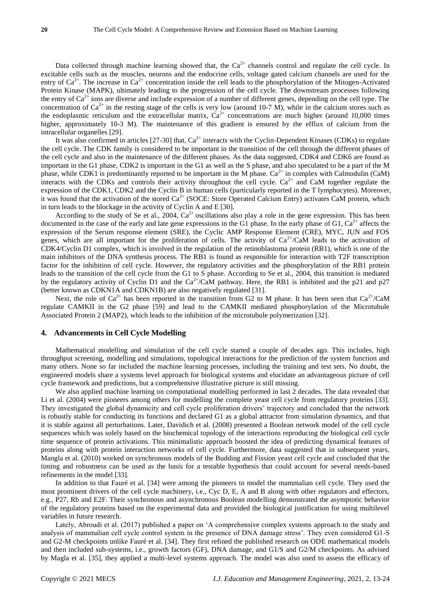Data collected through machine learning showed that, the  $Ca<sup>2+</sup>$  channels control and regulate the cell cycle. In excitable cells such as the muscles, neurons and the endocrine cells, voltage gated calcium channels are used for the entry of  $Ca^{2+}$ . The increase in  $Ca^{2+}$  concentration inside the cell leads to the phosphorylation of the Mitogen-Activated Protein Kinase (MAPK), ultimately leading to the progression of the cell cycle. The downstream processes following the entry of  $Ca^{2+}$  ions are diverse and include expression of a number of different genes, depending on the cell type. The concentration of  $Ca^{2+}$  in the resting stage of the cells is very low (around 10-7 M), while in the calcium stores such as the endoplasmic reticulum and the extracellular matrix,  $Ca^{2+}$  concentrations are much higher (around 10,000 times higher, approximately 10-3 M). The maintenance of this gradient is ensured by the efflux of calcium from the intracellular organelles [29].

It was also confirmed in articles  $[27-30]$  that,  $Ca<sup>2+</sup>$  interacts with the Cyclin-Dependent Kinases (CDKs) to regulate the cell cycle. The CDK family is considered to be important in the transition of the cell through the different phases of the cell cycle and also in the maintenance of the different phases. As the data suggested, CDK4 and CDK6 are found as important in the G1 phase, CDK2 is important in the G1 as well as the S phase, and also speculated to be a part of the M phase, while CDK1 is predominantly reported to be important in the M phase.  $Ca^{2+}$  in complex with Calmodulin (CaM) interacts with the CDKs and controls their activity throughout the cell cycle.  $Ca^{2+}$  and CaM together regulate the expression of the CDK1, CDK2 and the Cyclin B in human cells (particularly reported in the T lymphocytes). Moreover, it was found that the activation of the stored  $Ca^{2+}$  (SOCE: Store Operated Calcium Entry) activates CaM protein, which in turn leads to the blockage in the activity of Cyclin A and E [30].

According to the study of Se et al., 2004,  $Ca^{2+}$  oscillations also play a role in the gene expression. This has been documented in the case of the early and late gene expressions in the G1 phase. In the early phase of G1,  $Ca<sup>2+</sup>$  affects the expression of the Serum response element (SRE), the Cyclic AMP Response Element (CRE), MYC, JUN and FOS genes, which are all important for the proliferation of cells. The activity of  $Ca^{2+}/CaM$  leads to the activation of CDK4/Cyclin D1 complex, which is involved in the regulation of the retinoblastoma protein (RB1), which is one of the main inhibitors of the DNA synthesis process. The RB1 is found as responsible for interaction with T2F transcription factor for the inhibition of cell cycle. However, the regulatory activities and the phosphorylation of the RB1 protein leads to the transition of the cell cycle from the G1 to S phase. According to Se et al., 2004, this transition is mediated by the regulatory activity of Cyclin D1 and the  $Ca^{2+}/CaM$  pathway. Here, the RB1 is inhibited and the p21 and p27 (better known as CDKN1A and CDKN1B) are also negatively regulated [31].

Next, the role of Ca<sup>2+</sup> has been reported in the transition from G2 to M phase. It has been seen that Ca<sup>2+</sup>/CaM regulate CAMKII in the G2 phase [59] and lead to the CAMKII mediated phosphorylation of the Microtubule Associated Protein 2 (MAP2), which leads to the inhibition of the microtubule polymerization [32].

#### **4. Advancements in Cell Cycle Modelling**

Mathematical modelling and simulation of the cell cycle started a couple of decades ago. This includes, high throughput screening, modelling and simulations, topological interactions for the prediction of the system function and many others. None so far included the machine learning processes, including the training and test sets. No doubt, the engineered models share a systems level approach for biological systems and elucidate an advantageous picture of cell cycle framework and predictions, but a comprehensive illustrative picture is still missing.

We also applied machine learning on computational modelling performed in last 2 decades. The data revealed that Li et al. (2004) were pioneers among others for modelling the complete yeast cell cycle from regulatory proteins [33]. They investigated the global dynamicity and cell cycle proliferation drivers' trajectory and concluded that the network is robustly stable for conducting its functions and declared G1 as a global attractor from simulation dynamics, and that it is stable against all perturbations. Later, Davidich et al. (2008) presented a Boolean network model of the cell cycle sequences which was solely based on the biochemical topology of the interactions reproducing the biological cell cycle time sequence of protein activations. This minimalistic approach boosted the idea of predicting dynamical features of proteins along with protein interaction networks of cell cycle. Furthermore, data suggested that in subsequent years, Mangla et al. (2010) worked on synchronous models of the Budding and Fission yeast cell cycle and concluded that the timing and robustness can be used as the basis for a testable hypothesis that could account for several needs-based refinements in the model [33].

In addition to that Fauré et al. [34] were among the pioneers to model the mammalian cell cycle. They used the most prominent drivers of the cell cycle machinery, i.e., Cyc D, E, A and B along with other regulators and effectors, e.g., P27, Rb and E2F. Their synchronous and asynchronous Boolean modelling demonstrated the asymptotic behavior of the regulatory proteins based on the experimental data and provided the biological justification for using multilevel variables in future research.

Lately, Abroudi et al. (2017) published a paper on 'A comprehensive complex systems approach to the study and analysis of mammalian cell cycle control system in the presence of DNA damage stress'. They even considered G1-S and G2-M checkpoints unlike Fauré et al. [34]. They first refined the published research on ODE mathematical models and then included sub-systems, i.e., growth factors (GF), DNA damage, and G1/S and G2/M checkpoints. As advised by Magla et al. [35], they applied a multi-level systems approach. The model was also used to assess the efficacy of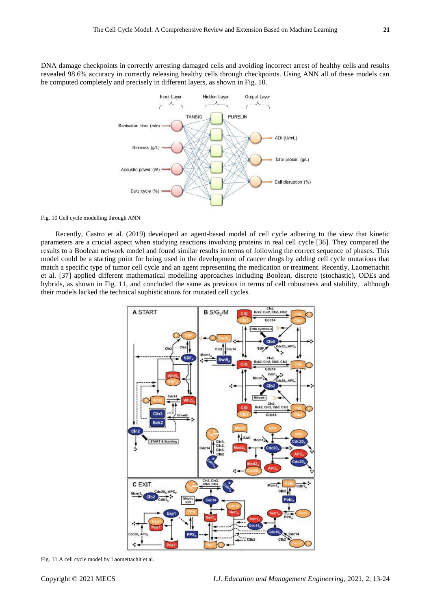DNA damage checkpoints in correctly arresting damaged cells and avoiding incorrect arrest of healthy cells and results revealed 98.6% accuracy in correctly releasing healthy cells through checkpoints. Using ANN all of these models can be computed completely and precisely in different layers, as shown in Fig. 10.



Fig. 10 Cell cycle modelling through ANN

Recently, Castro et al. (2019) developed an agent-based model of cell cycle adhering to the view that kinetic parameters are a crucial aspect when studying reactions involving proteins in real cell cycle [36]. They compared the results to a Boolean network model and found similar results in terms of following the correct sequence of phases. This model could be a starting point for being used in the development of cancer drugs by adding cell cycle mutations that match a specific type of tumor cell cycle and an agent representing the medication or treatment. Recently, Laomettachit et al. [37] applied different mathematical modelling approaches including Boolean, discrete (stochastic), ODEs and hybrids, as shown in Fig. 11, and concluded the same as previous in terms of cell robustness and stability, although their models lacked the technical sophistications for mutated cell cycles.



Fig. 11 A cell cycle model by Laomettachit et al.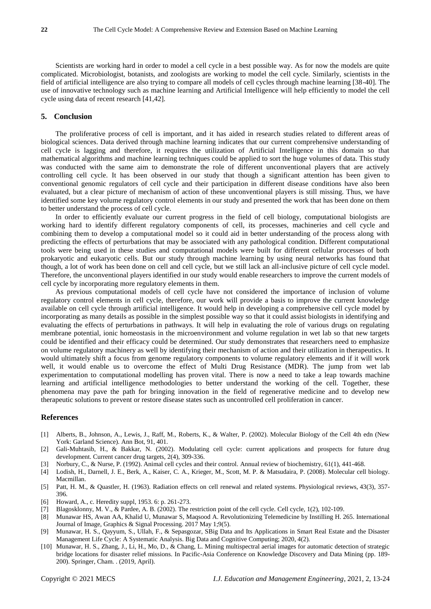Scientists are working hard in order to model a cell cycle in a best possible way. As for now the models are quite complicated. Microbiologist, botanists, and zoologists are working to model the cell cycle. Similarly, scientists in the field of artificial intelligence are also trying to compare all models of cell cycles through machine learning [38-40]. The use of innovative technology such as machine learning and Artificial Intelligence will help efficiently to model the cell cycle using data of recent research [41,42].

# **5. Conclusion**

The proliferative process of cell is important, and it has aided in research studies related to different areas of biological sciences. Data derived through machine learning indicates that our current comprehensive understanding of cell cycle is lagging and therefore, it requires the utilization of Artificial Intelligence in this domain so that mathematical algorithms and machine learning techniques could be applied to sort the huge volumes of data. This study was conducted with the same aim to demonstrate the role of different unconventional players that are actively controlling cell cycle. It has been observed in our study that though a significant attention has been given to conventional genomic regulators of cell cycle and their participation in different disease conditions have also been evaluated, but a clear picture of mechanism of action of these unconventional players is still missing. Thus, we have identified some key volume regulatory control elements in our study and presented the work that has been done on them to better understand the process of cell cycle.

In order to efficiently evaluate our current progress in the field of cell biology, computational biologists are working hard to identify different regulatory components of cell, its processes, machineries and cell cycle and combining them to develop a computational model so it could aid in better understanding of the process along with predicting the effects of perturbations that may be associated with any pathological condition. Different computational tools were being used in these studies and computational models were built for different cellular processes of both prokaryotic and eukaryotic cells. But our study through machine learning by using neural networks has found that though, a lot of work has been done on cell and cell cycle, but we still lack an all-inclusive picture of cell cycle model. Therefore, the unconventional players identified in our study would enable researchers to improve the current models of cell cycle by incorporating more regulatory elements in them.

As previous computational models of cell cycle have not considered the importance of inclusion of volume regulatory control elements in cell cycle, therefore, our work will provide a basis to improve the current knowledge available on cell cycle through artificial intelligence. It would help in developing a comprehensive cell cycle model by incorporating as many details as possible in the simplest possible way so that it could assist biologists in identifying and evaluating the effects of perturbations in pathways. It will help in evaluating the role of various drugs on regulating membrane potential, ionic homeostasis in the microenvironment and volume regulation in wet lab so that new targets could be identified and their efficacy could be determined. Our study demonstrates that researchers need to emphasize on volume regulatory machinery as well by identifying their mechanism of action and their utilization in therapeutics. It would ultimately shift a focus from genome regulatory components to volume regulatory elements and if it will work well, it would enable us to overcome the effect of Multi Drug Resistance (MDR). The jump from wet lab experimentation to computational modelling has proven vital. There is now a need to take a leap towards machine learning and artificial intelligence methodologies to better understand the working of the cell. Together, these phenomena may pave the path for bringing innovation in the field of regenerative medicine and to develop new therapeutic solutions to prevent or restore disease states such as uncontrolled cell proliferation in cancer.

#### **References**

- [1] Alberts, B., Johnson, A., Lewis, J., Raff, M., Roberts, K., & Walter, P. (2002). Molecular Biology of the Cell 4th edn (New York: Garland Science). Ann Bot, 91, 401.
- [2] Gali-Muhtasib, H., & Bakkar, N. (2002). Modulating cell cycle: current applications and prospects for future drug development. Current cancer drug targets, 2(4), 309-336.
- [3] Norbury, C., & Nurse, P. (1992). Animal cell cycles and their control. Annual review of biochemistry, 61(1), 441-468.
- [4] Lodish, H., Darnell, J. E., Berk, A., Kaiser, C. A., Krieger, M., Scott, M. P. & Matsudaira, P. (2008). Molecular cell biology. Macmillan.
- [5] Patt, H. M., & Quastler, H. (1963). Radiation effects on cell renewal and related systems. Physiological reviews, 43(3), 357- 396.
- [6] Howard, A., c. Heredity suppl, 1953. 6: p. 261-273.
- [7] Blagosklonny, M. V., & Pardee, A. B. (2002). The restriction point of the cell cycle. Cell cycle, 1(2), 102-109.
- [8] Munawar HS, Awan AA, Khalid U, Munawar S, Maqsood A. Revolutionizing Telemedicine by Instilling H. 265. International Journal of Image, Graphics & Signal Processing. 2017 May 1;9(5).
- [9] Munawar, H. S., Qayyum, S., Ullah, F., & Sepasgozar, SBig Data and Its Applications in Smart Real Estate and the Disaster Management Life Cycle: A Systematic Analysis. Big Data and Cognitive Computing; 2020, 4(2).
- [10] Munawar, H. S., Zhang, J., Li, H., Mo, D., & Chang, L. Mining multispectral aerial images for automatic detection of strategic bridge locations for disaster relief missions. In Pacific-Asia Conference on Knowledge Discovery and Data Mining (pp. 189- 200). Springer, Cham. . (2019, April).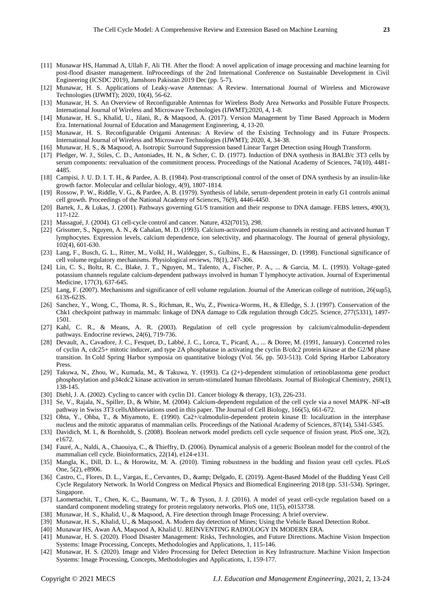- [11] Munawar HS, Hammad A, Ullah F, Ali TH. After the flood: A novel application of image processing and machine learning for post-flood disaster management. InProceedings of the 2nd International Conference on Sustainable Development in Civil Engineering (ICSDC 2019), Jamshoro Pakistan 2019 Dec (pp. 5-7).
- [12] Munawar, H. S. [Applications of Leaky-wave Antennas: A Review.](https://scholar.google.com.pk/scholar?oi=bibs&cluster=5076877705148932199&btnI=1&hl=en) International Journal of Wireless and Microwave Technologies (IJWMT); 2020, 10(4), 56-62.
- [13] Munawar, H. S. An Overview of Reconfigurable Antennas for Wireless Body Area Networks and Possible Future Prospects. International Journal of Wireless and Microwave Technologies (IJWMT);2020, 4, 1-8.
- [14] Munawar, H. S., Khalid, U., Jilani, R., & Maqsood, A. (2017). Version Management by Time Based Approach in Modern Era. International Journal of Education and Management Engineering, 4, 13-20.
- [15] Munawar, H. S. Reconfigurable Origami Antennas: A Review of the Existing Technology and its Future Prospects. International Journal of Wireless and Microwave Technologies (IJWMT); 2020, 4, 34-38.
- [16] Munawar, H. S., & Maqsood, A. Isotropic Surround Suppression based Linear Target Detection using Hough Transform.
- [17] Pledger, W. J., Stiles, C. D., Antoniades, H. N., & Scher, C. D. (1977). Induction of DNA synthesis in BALB/c 3T3 cells by serum components: reevaluation of the commitment process. Proceedings of the National Academy of Sciences, 74(10), 4481- 4485.
- [18] Campisi, J. U. D. I. T. H., & Pardee, A. B. (1984). Post-transcriptional control of the onset of DNA synthesis by an insulin-like growth factor. Molecular and cellular biology, 4(9), 1807-1814.
- [19] Rossow, P. W., Riddle, V. G., & Pardee, A. B. (1979). Synthesis of labile, serum-dependent protein in early G1 controls animal cell growth. Proceedings of the National Academy of Sciences, 76(9), 4446-4450.
- [20] Bartek, J., & Lukas, J. (2001). Pathways governing G1/S transition and their response to DNA damage. FEBS letters, 490(3), 117-122.
- [21] Massagué, J. (2004). G1 cell-cycle control and cancer. Nature, 432(7015), 298.
- [22] Grissmer, S., Nguyen, A. N., & Cahalan, M. D. (1993). Calcium-activated potassium channels in resting and activated human T lymphocytes. Expression levels, calcium dependence, ion selectivity, and pharmacology. The Journal of general physiology, 102(4), 601-630.
- [23] Lang, F., Busch, G. L., Ritter, M., Volkl, H., Waldegger, S., Gulbins, E., & Haussinger, D. (1998). Functional significance of cell volume regulatory mechanisms. Physiological reviews, 78(1), 247-306.
- [24] Lin, C. S., Boltz, R. C., Blake, J. T., Nguyen, M., Talento, A., Fischer, P. A., ... & Garcia, M. L. (1993). Voltage-gated potassium channels regulate calcium-dependent pathways involved in human T lymphocyte activation. Journal of Experimental Medicine, 177(3), 637-645.
- [25] Lang, F. (2007). Mechanisms and significance of cell volume regulation. Journal of the American college of nutrition, 26(sup5), 613S-623S.
- [26] Sanchez, Y., Wong, C., Thoma, R. S., Richman, R., Wu, Z., Piwnica-Worms, H., & Elledge, S. J. (1997). Conservation of the Chk1 checkpoint pathway in mammals: linkage of DNA damage to Cdk regulation through Cdc25. Science, 277(5331), 1497- 1501.
- [27] Kahl, C. R., & Means, A. R. (2003). Regulation of cell cycle progression by calcium/calmodulin-dependent pathways. Endocrine reviews, 24(6), 719-736.
- [28] Devault, A., Cavadore, J. C., Fesquet, D., Labbé, J. C., Lorca, T., Picard, A., ... & Doree, M. (1991, January). Concerted roles of cyclin A, cdc25+ mitotic inducer, and type 2A phosphatase in activating the cyclin B/cdc2 protein kinase at the G2/M phase transition. In Cold Spring Harbor symposia on quantitative biology (Vol. 56, pp. 503-513). Cold Spring Harbor Laboratory Press.
- [29] Takuwa, N., Zhou, W., Kumada, M., & Takuwa, Y. (1993). Ca (2+)-dependent stimulation of retinoblastoma gene product phosphorylation and p34cdc2 kinase activation in serum-stimulated human fibroblasts. Journal of Biological Chemistry, 268(1), 138-145.
- [30] Diehl, J. A. (2002). Cycling to cancer with cyclin D1. Cancer biology & therapy, 1(3), 226-231.
- [31] Se, V., Rajala, N., Spiller, D., & White, M. (2004). Calcium-dependent regulation of the cell cycle via a novel MAPK–NF-κB pathway in Swiss 3T3 cellsAbbreviations used in this paper. The Journal of Cell Biology, 166(5), 661-672.
- [32] Ohta, Y., Ohba, T., & Miyamoto, E. (1990). Ca2+/calmodulin-dependent protein kinase II: localization in the interphase nucleus and the mitotic apparatus of mammalian cells. Proceedings of the National Academy of Sciences, 87(14), 5341-5345.
- [33] Davidich, M. I., & Bornholdt, S. (2008). Boolean network model predicts cell cycle sequence of fission yeast. PloS one, 3(2), e1672.
- [34] Fauré, A., Naldi, A., Chaouiya, C., & Thieffry, D. (2006). Dynamical analysis of a generic Boolean model for the control of the mammalian cell cycle. Bioinformatics, 22(14), e124-e131.
- [35] Mangla, K., Dill, D. L., & Horowitz, M. A. (2010). Timing robustness in the budding and fission yeast cell cycles. PLoS One, 5(2), e8906.
- [36] Castro, C., Flores, D. L., Vargas, E., Cervantes, D., & Delgado, E. (2019). Agent-Based Model of the Budding Yeast Cell Cycle Regulatory Network. In World Congress on Medical Physics and Biomedical Engineering 2018 (pp. 531-534). Springer, Singapore.
- [37] Laomettachit, T., Chen, K. C., Baumann, W. T., & Tyson, J. J. (2016). A model of yeast cell-cycle regulation based on a standard component modeling strategy for protein regulatory networks. PloS one, 11(5), e0153738.
- [38] Munawar, H. S., Khalid, U., & Maqsood, A. Fire detection through Image Processing; A brief overview.
- [39] Munawar, H. S., Khalid, U., & Maqsood, A. Modern day detection of Mines; Using the Vehicle Based Detection Robot.
- [40] Munawar HS, Awan AA, Maqsood A, Khalid U. REINVENTING RADIOLOGY IN MODERN ERA.
- [41] Munawar, H. S. (2020). Flood Disaster Management: Risks, Technologies, and Future Directions. Machine Vision Inspection Systems: Image Processing, Concepts, Methodologies and Applications, 1, 115-146.
- [42] Munawar, H. S. (2020). Image and Video Processing for Defect Detection in Key Infrastructure. Machine Vision Inspection Systems: Image Processing, Concepts, Methodologies and Applications, 1, 159-177.